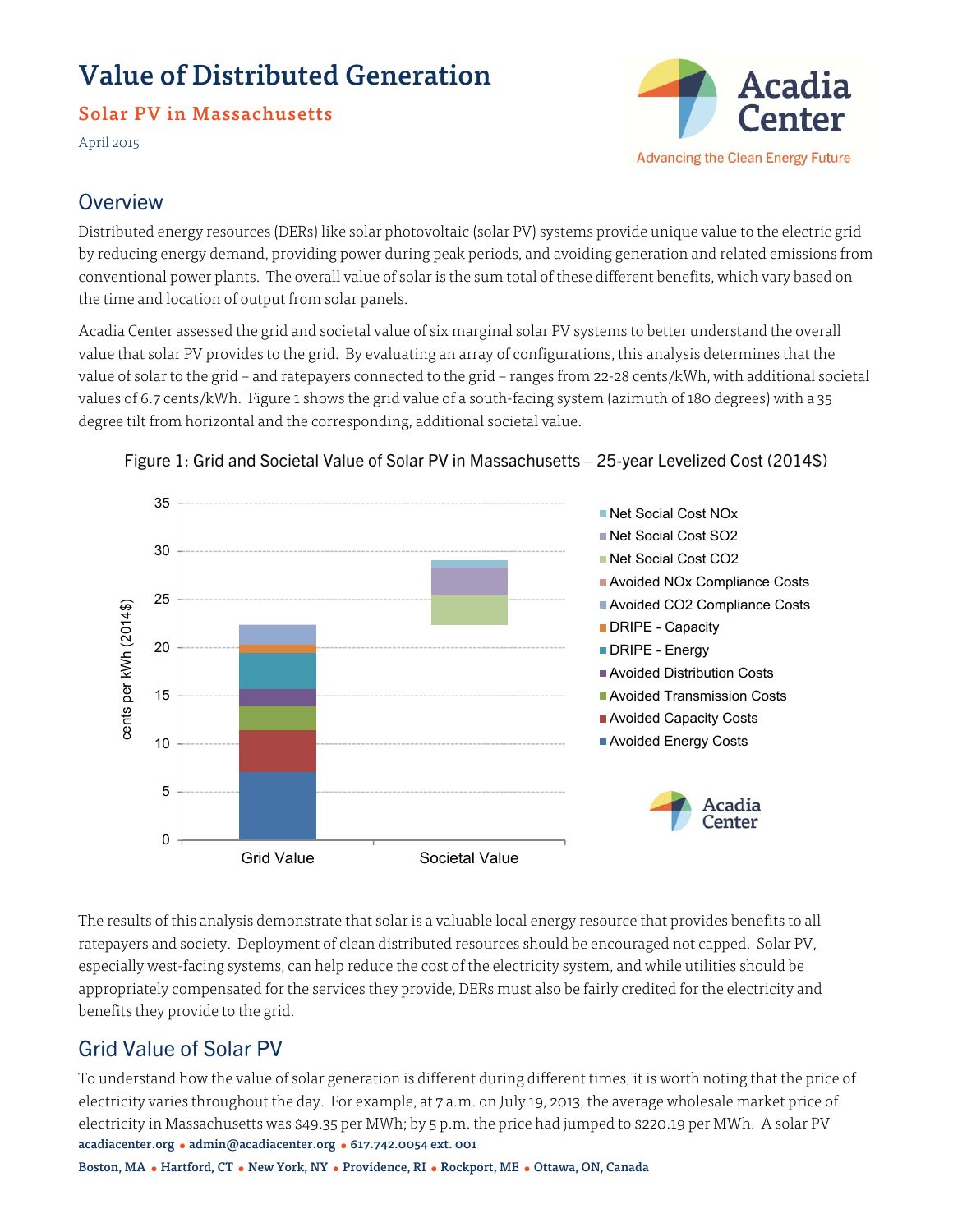# Value of Distributed Generation

### Solar PV in Massachusetts

April 2015



### **Overview**

Distributed energy resources (DERs) like solar photovoltaic (solar PV) systems provide unique value to the electric grid by reducing energy demand, providing power during peak periods, and avoiding generation and related emissions from conventional power plants. The overall value of solar is the sum total of these different benefits, which vary based on the time and location of output from solar panels.

Acadia Center assessed the grid and societal value of six marginal solar PV systems to better understand the overall value that solar PV provides to the grid. By evaluating an array of configurations, this analysis determines that the value of solar to the grid – and ratepayers connected to the grid – ranges from 22-28 cents/kWh, with additional societal values of 6.7 cents/kWh. Figure 1 shows the grid value of a south-facing system (azimuth of 180 degrees) with a 35 degree tilt from horizontal and the corresponding, additional societal value.



### Figure 1: Grid and Societal Value of Solar PV in Massachusetts – 25-year Levelized Cost (2014\$)

The results of this analysis demonstrate that solar is a valuable local energy resource that provides benefits to all ratepayers and society. Deployment of clean distributed resources should be encouraged not capped. Solar PV, especially west-facing systems, can help reduce the cost of the electricity system, and while utilities should be appropriately compensated for the services they provide, DERs must also be fairly credited for the electricity and benefits they provide to the grid.

# Grid Value of Solar PV

acadiacenter.org • admin@acadiacenter.org • 617.742.0054 ext. 001 To understand how the value of solar generation is different during different times, it is worth noting that the price of electricity varies throughout the day. For example, at 7 a.m. on July 19, 2013, the average wholesale market price of electricity in Massachusetts was \$49.35 per MWh; by 5 p.m. the price had jumped to \$220.19 per MWh. A solar PV

Boston, MA ● Hartford, CT ● New York, NY ● Providence, RI ● Rockport, ME ● Ottawa, ON, Canada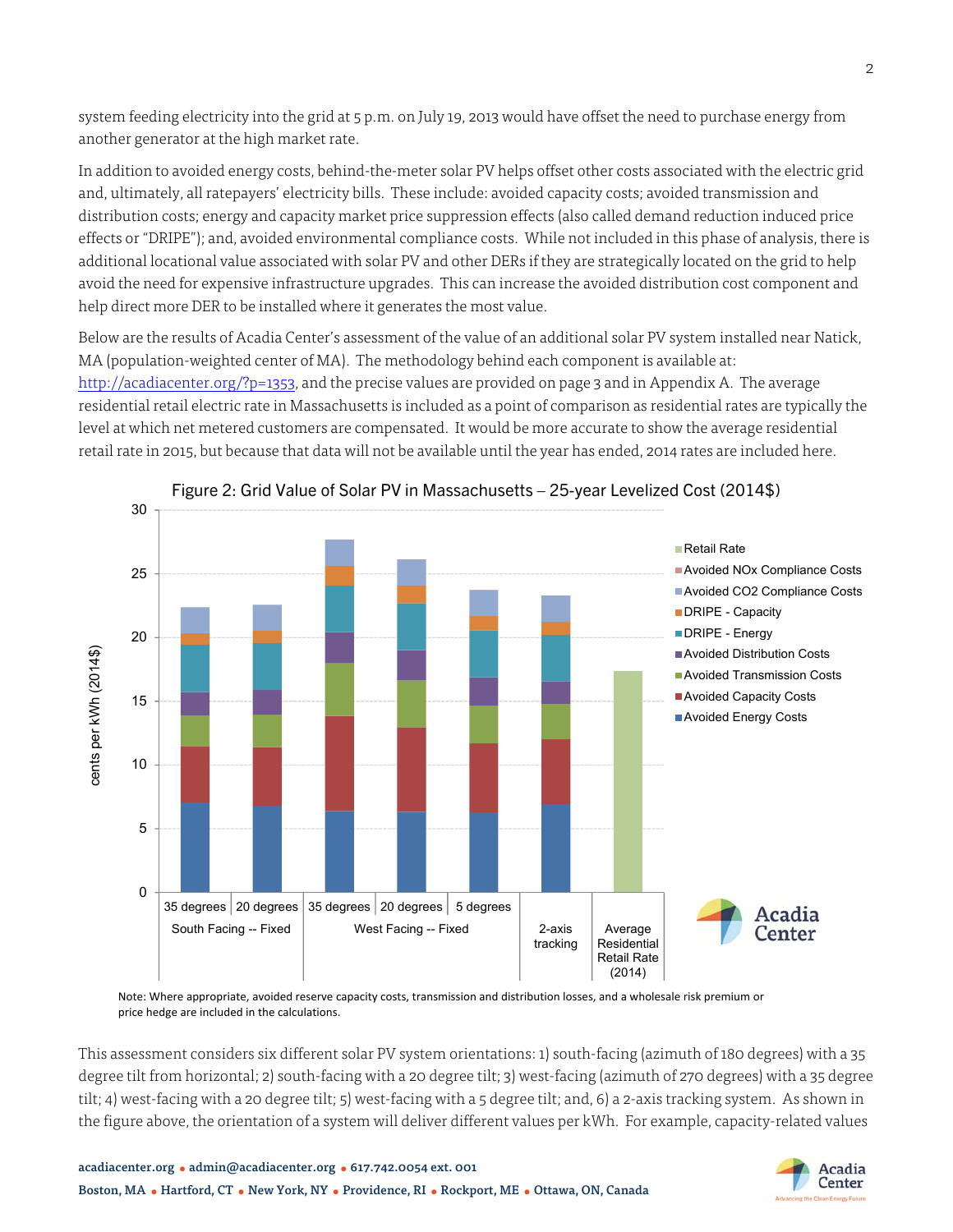system feeding electricity into the grid at 5 p.m. on July 19, 2013 would have offset the need to purchase energy from another generator at the high market rate.

In addition to avoided energy costs, behind-the-meter solar PV helps offset other costs associated with the electric grid and, ultimately, all ratepayers' electricity bills. These include: avoided capacity costs; avoided transmission and distribution costs; energy and capacity market price suppression effects (also called demand reduction induced price effects or "DRIPE"); and, avoided environmental compliance costs. While not included in this phase of analysis, there is additional locational value associated with solar PV and other DERs if they are strategically located on the grid to help avoid the need for expensive infrastructure upgrades. This can increase the avoided distribution cost component and help direct more DER to be installed where it generates the most value.

Below are the results of Acadia Center's assessment of the value of an additional solar PV system installed near Natick, MA (population-weighted center of MA). The methodology behind each component is available at: http://acadiacenter.org/?p=1353, and the precise values are provided on page 3 and in Appendix A. The average residential retail electric rate in Massachusetts is included as a point of comparison as residential rates are typically the level at which net metered customers are compensated. It would be more accurate to show the average residential retail rate in 2015, but because that data will not be available until the year has ended, 2014 rates are included here.



Figure 2: Grid Value of Solar PV in Massachusetts – 25-year Levelized Cost (2014\$)

Note: Where appropriate, avoided reserve capacity costs, transmission and distribution losses, and a wholesale risk premium or price hedge are included in the calculations.

This assessment considers six different solar PV system orientations: 1) south-facing (azimuth of 180 degrees) with a 35 degree tilt from horizontal; 2) south-facing with a 20 degree tilt; 3) west-facing (azimuth of 270 degrees) with a 35 degree tilt; 4) west-facing with a 20 degree tilt; 5) west-facing with a 5 degree tilt; and, 6) a 2-axis tracking system. As shown in the figure above, the orientation of a system will deliver different values per kWh. For example, capacity-related values

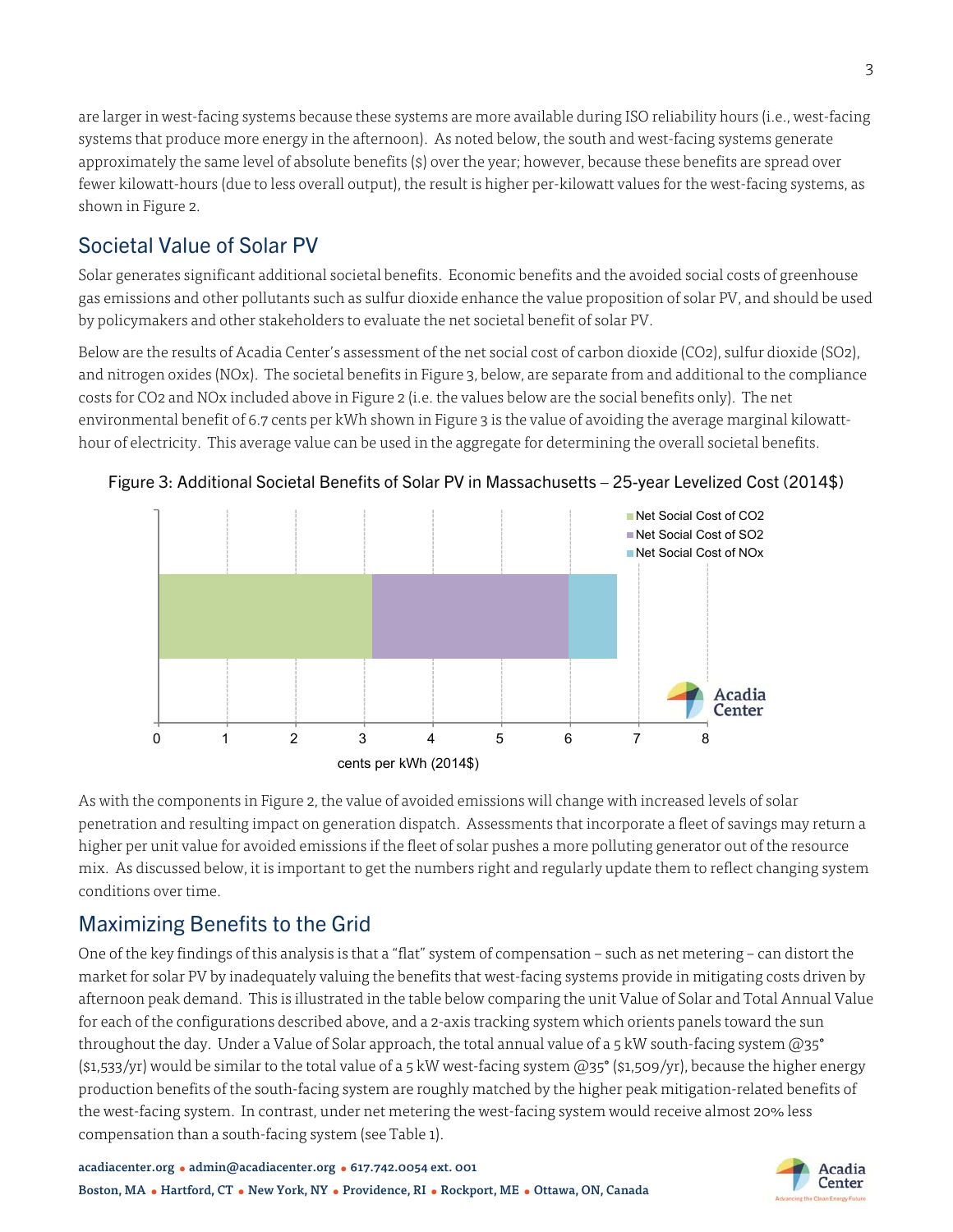are larger in west-facing systems because these systems are more available during ISO reliability hours (i.e., west-facing systems that produce more energy in the afternoon). As noted below, the south and west-facing systems generate approximately the same level of absolute benefits (\$) over the year; however, because these benefits are spread over fewer kilowatt-hours (due to less overall output), the result is higher per-kilowatt values for the west-facing systems, as shown in Figure 2.

# Societal Value of Solar PV

Solar generates significant additional societal benefits. Economic benefits and the avoided social costs of greenhouse gas emissions and other pollutants such as sulfur dioxide enhance the value proposition of solar PV, and should be used by policymakers and other stakeholders to evaluate the net societal benefit of solar PV.

Below are the results of Acadia Center's assessment of the net social cost of carbon dioxide (CO2), sulfur dioxide (SO2), and nitrogen oxides (NOx). The societal benefits in Figure 3, below, are separate from and additional to the compliance costs for CO2 and NOx included above in Figure 2 (i.e. the values below are the social benefits only). The net environmental benefit of 6.7 cents per kWh shown in Figure 3 is the value of avoiding the average marginal kilowatthour of electricity. This average value can be used in the aggregate for determining the overall societal benefits.



Figure 3: Additional Societal Benefits of Solar PV in Massachusetts – 25-year Levelized Cost (2014\$)

As with the components in Figure 2, the value of avoided emissions will change with increased levels of solar penetration and resulting impact on generation dispatch. Assessments that incorporate a fleet of savings may return a higher per unit value for avoided emissions if the fleet of solar pushes a more polluting generator out of the resource mix. As discussed below, it is important to get the numbers right and regularly update them to reflect changing system conditions over time.

# Maximizing Benefits to the Grid

One of the key findings of this analysis is that a "flat" system of compensation – such as net metering – can distort the market for solar PV by inadequately valuing the benefits that west-facing systems provide in mitigating costs driven by afternoon peak demand. This is illustrated in the table below comparing the unit Value of Solar and Total Annual Value for each of the configurations described above, and a 2-axis tracking system which orients panels toward the sun throughout the day. Under a Value of Solar approach, the total annual value of a 5 kW south-facing system  $(\omega_3^2)$  $(\text{51,533/yr})$  would be similar to the total value of a 5 kW west-facing system  $\text{@35}^{\circ}$  (\$1,509/yr), because the higher energy production benefits of the south-facing system are roughly matched by the higher peak mitigation-related benefits of the west-facing system. In contrast, under net metering the west-facing system would receive almost 20% less compensation than a south-facing system (see Table 1).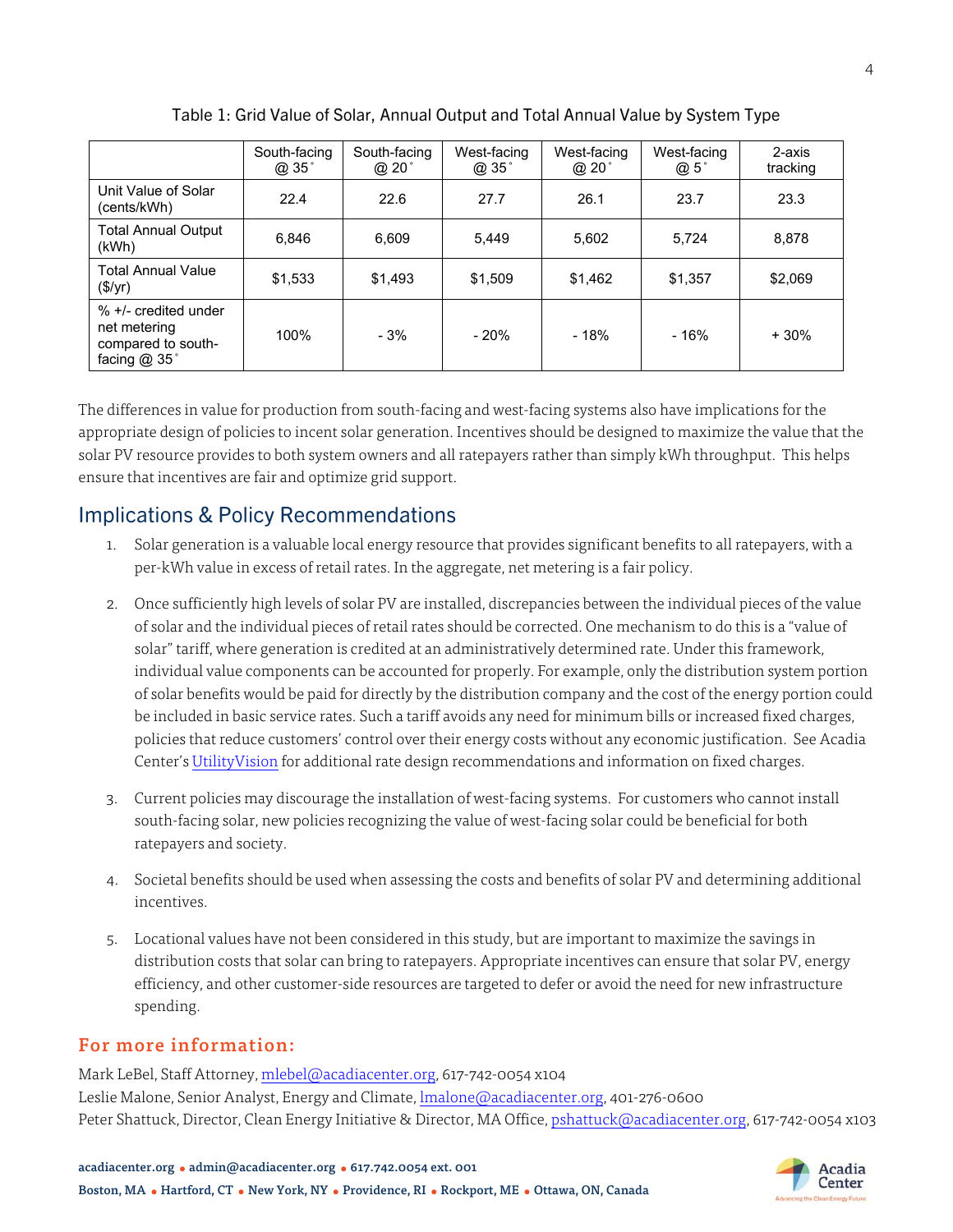|                                                                            | South-facing<br>@ 35° | South-facing<br>@ 20° | West-facing<br>@ 35° | West-facing<br>@ 20° | West-facing<br>@ 5° | 2-axis<br>tracking |
|----------------------------------------------------------------------------|-----------------------|-----------------------|----------------------|----------------------|---------------------|--------------------|
| Unit Value of Solar<br>(cents/kWh)                                         | 22.4                  | 22.6                  | 27.7                 | 26.1                 | 23.7                | 23.3               |
| <b>Total Annual Output</b><br>(kWh)                                        | 6.846                 | 6.609                 | 5.449                | 5,602                | 5.724               | 8,878              |
| <b>Total Annual Value</b><br>$(\$/yr)$                                     | \$1,533               | \$1,493               | \$1.509              | \$1,462              | \$1,357             | \$2,069            |
| % +/- credited under<br>net metering<br>compared to south-<br>facing @ 35° | 100%                  | $-3%$                 | $-20%$               | $-18%$               | $-16%$              | $+30%$             |

Table 1: Grid Value of Solar, Annual Output and Total Annual Value by System Type

The differences in value for production from south-facing and west-facing systems also have implications for the appropriate design of policies to incent solar generation. Incentives should be designed to maximize the value that the solar PV resource provides to both system owners and all ratepayers rather than simply kWh throughput. This helps ensure that incentives are fair and optimize grid support.

## Implications & Policy Recommendations

- 1. Solar generation is a valuable local energy resource that provides significant benefits to all ratepayers, with a per-kWh value in excess of retail rates. In the aggregate, net metering is a fair policy.
- 2. Once sufficiently high levels of solar PV are installed, discrepancies between the individual pieces of the value of solar and the individual pieces of retail rates should be corrected. One mechanism to do this is a "value of solar" tariff, where generation is credited at an administratively determined rate. Under this framework, individual value components can be accounted for properly. For example, only the distribution system portion of solar benefits would be paid for directly by the distribution company and the cost of the energy portion could be included in basic service rates. Such a tariff avoids any need for minimum bills or increased fixed charges, policies that reduce customers' control over their energy costs without any economic justification. See Acadia Center's UtilityVision for additional rate design recommendations and information on fixed charges.
- 3. Current policies may discourage the installation of west-facing systems. For customers who cannot install south-facing solar, new policies recognizing the value of west-facing solar could be beneficial for both ratepayers and society.
- 4. Societal benefits should be used when assessing the costs and benefits of solar PV and determining additional incentives.
- 5. Locational values have not been considered in this study, but are important to maximize the savings in distribution costs that solar can bring to ratepayers. Appropriate incentives can ensure that solar PV, energy efficiency, and other customer-side resources are targeted to defer or avoid the need for new infrastructure spending.

### For more information:

Mark LeBel, Staff Attorney, mlebel@acadiacenter.org, 617-742-0054 x104 Leslie Malone, Senior Analyst, Energy and Climate, lmalone@acadiacenter.org, 401-276-0600 Peter Shattuck, Director, Clean Energy Initiative & Director, MA Office, pshattuck@acadiacenter.org, 617-742-0054 x103